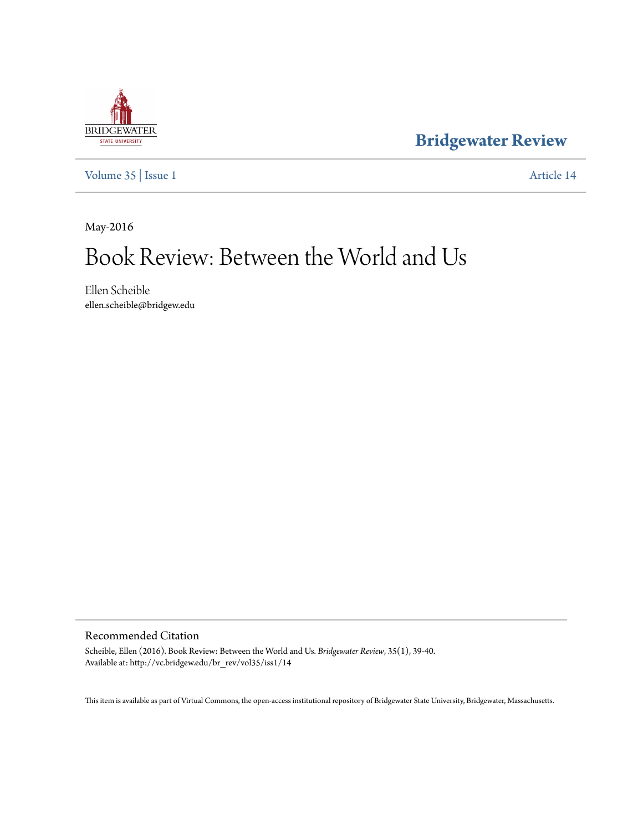

**[Bridgewater Review](http://vc.bridgew.edu/br_rev)**

[Volume 35](http://vc.bridgew.edu/br_rev/vol35) | [Issue 1](http://vc.bridgew.edu/br_rev/vol35/iss1) [Article 14](http://vc.bridgew.edu/br_rev/vol35/iss1/14)

May-2016

# Book Review: Between the World and Us

Ellen Scheible ellen.scheible@bridgew.edu

#### Recommended Citation

Scheible, Ellen (2016). Book Review: Between the World and Us. *Bridgewater Review*, 35(1), 39-40. Available at: http://vc.bridgew.edu/br\_rev/vol35/iss1/14

This item is available as part of Virtual Commons, the open-access institutional repository of Bridgewater State University, Bridgewater, Massachusetts.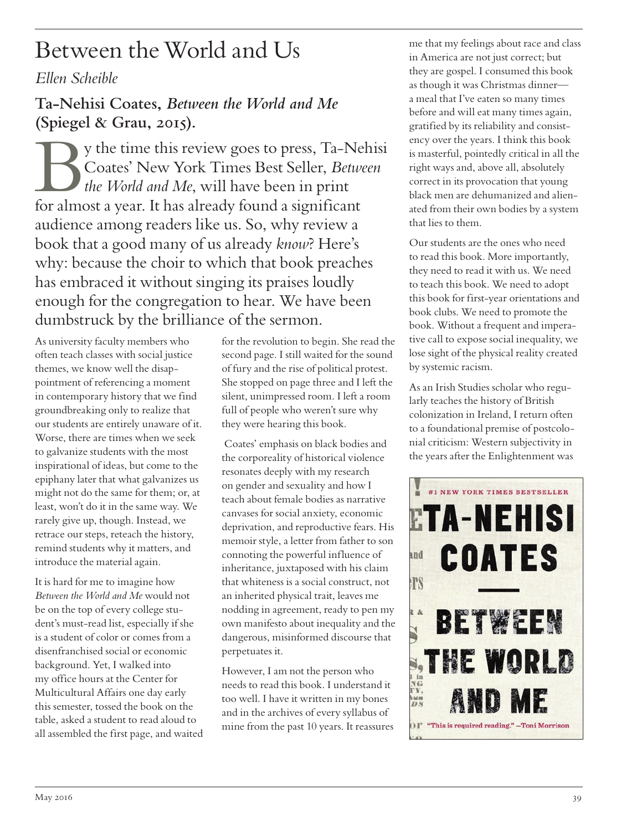# Between the World and Us

### *Ellen Scheible*

**Ta-Nehisi Coates,** *Between the World and Me*  **(Spiegel & Grau, 2015).**

By the time this review goes to press, Ta-Nehisi<br>Coates' New York Times Best Seller, *Between*<br>the World and Me, will have been in print<br>for almost a year. It has already found a significant Coates' New York Times Best Seller, *Between the World and Me*, will have been in print for almost a year. It has already found a significant audience among readers like us. So, why review a book that a good many of us already *know*? Here's why: because the choir to which that book preaches has embraced it without singing its praises loudly enough for the congregation to hear. We have been dumbstruck by the brilliance of the sermon.

As university faculty members who often teach classes with social justice themes, we know well the disappointment of referencing a moment in contemporary history that we find groundbreaking only to realize that our students are entirely unaware of it. Worse, there are times when we seek to galvanize students with the most inspirational of ideas, but come to the epiphany later that what galvanizes us might not do the same for them; or, at least, won't do it in the same way. We rarely give up, though. Instead, we retrace our steps, reteach the history, remind students why it matters, and introduce the material again.

It is hard for me to imagine how *Between the World and Me* would not be on the top of every college student's must-read list, especially if she is a student of color or comes from a disenfranchised social or economic background. Yet, I walked into my office hours at the Center for Multicultural Affairs one day early this semester, tossed the book on the table, asked a student to read aloud to all assembled the first page, and waited for the revolution to begin. She read the second page. I still waited for the sound of fury and the rise of political protest. She stopped on page three and I left the silent, unimpressed room. I left a room full of people who weren't sure why they were hearing this book.

 Coates' emphasis on black bodies and the corporeality of historical violence resonates deeply with my research on gender and sexuality and how I teach about female bodies as narrative canvases for social anxiety, economic deprivation, and reproductive fears. His memoir style, a letter from father to son connoting the powerful influence of inheritance, juxtaposed with his claim that whiteness is a social construct, not an inherited physical trait, leaves me nodding in agreement, ready to pen my own manifesto about inequality and the dangerous, misinformed discourse that perpetuates it.

However, I am not the person who needs to read this book. I understand it too well. I have it written in my bones and in the archives of every syllabus of mine from the past 10 years. It reassures

me that my feelings about race and class in America are not just correct; but they are gospel. I consumed this book as though it was Christmas dinner a meal that I've eaten so many times before and will eat many times again, gratified by its reliability and consistency over the years. I think this book is masterful, pointedly critical in all the right ways and, above all, absolutely correct in its provocation that young black men are dehumanized and alienated from their own bodies by a system that lies to them.

Our students are the ones who need to read this book. More importantly, they need to read it with us. We need to teach this book. We need to adopt this book for first-year orientations and book clubs. We need to promote the book. Without a frequent and imperative call to expose social inequality, we lose sight of the physical reality created by systemic racism.

As an Irish Studies scholar who regularly teaches the history of British colonization in Ireland, I return often to a foundational premise of postcolonial criticism: Western subjectivity in the years after the Enlightenment was